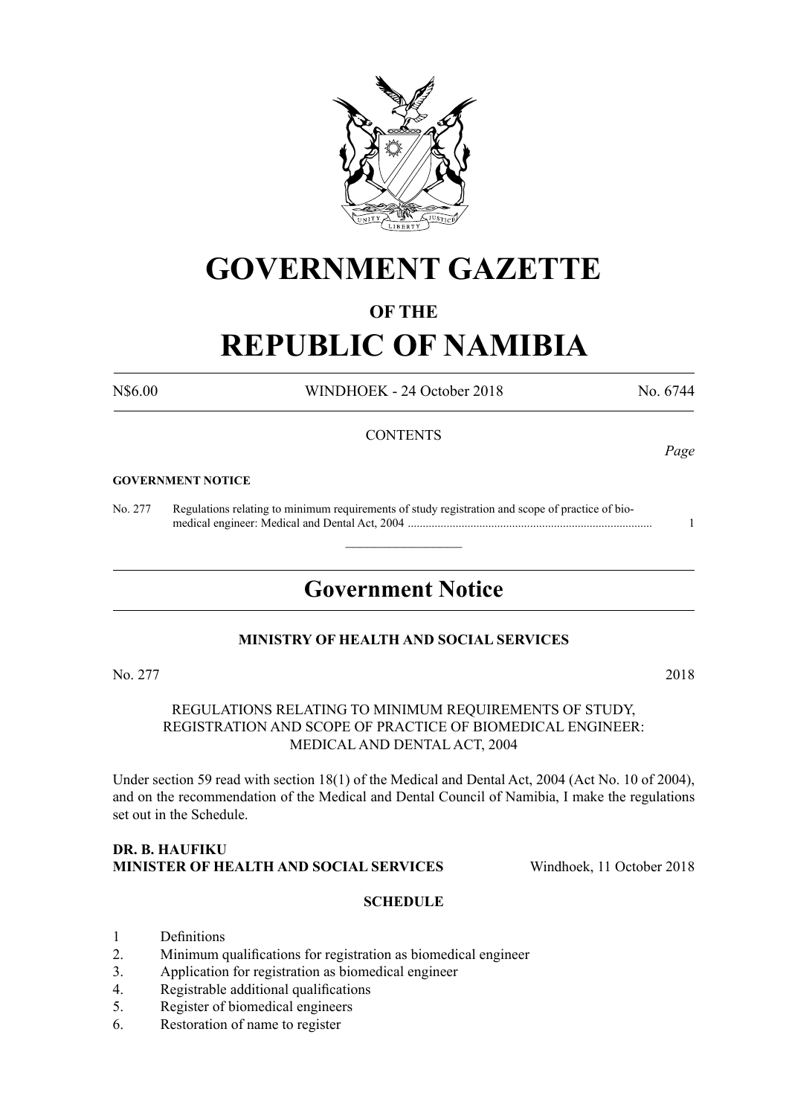

# **GOVERNMENT GAZETTE**

# **OF THE**

# **REPUBLIC OF NAMIBIA**

N\$6.00 WINDHOEK - 24 October 2018 No. 6744

# **CONTENTS**

#### **GOVERNMENT NOTICE**

No. 277 Regulations relating to minimum requirements of study registration and scope of practice of bio medical engineer: Medical and Dental Act, 2004 .................................................................................. 1

# **Government Notice**

 $\overline{\phantom{a}}$  , where  $\overline{\phantom{a}}$ 

#### **MINISTRY OF HEALTH AND SOCIAL SERVICES**

No. 277 2018

REGULATIONS RELATING TO MINIMUM REQUIREMENTS OF STUDY, REGISTRATION AND SCOPE OF PRACTICE OF BIOMEDICAL ENGINEER: MEDICAL AND DENTAL ACT, 2004

Under section 59 read with section 18(1) of the Medical and Dental Act, 2004 (Act No. 10 of 2004), and on the recommendation of the Medical and Dental Council of Namibia, I make the regulations set out in the Schedule.

#### **Dr. B. Haufiku Minister of Health and Social Services** Windhoek, 11 October 2018

#### **SCHEDULE**

- 1 Definitions
- 2. Minimum qualifications for registration as biomedical engineer
- 3. Application for registration as biomedical engineer
- 4. Registrable additional qualifications
- 5. Register of biomedical engineers
- 6. Restoration of name to register

*Page*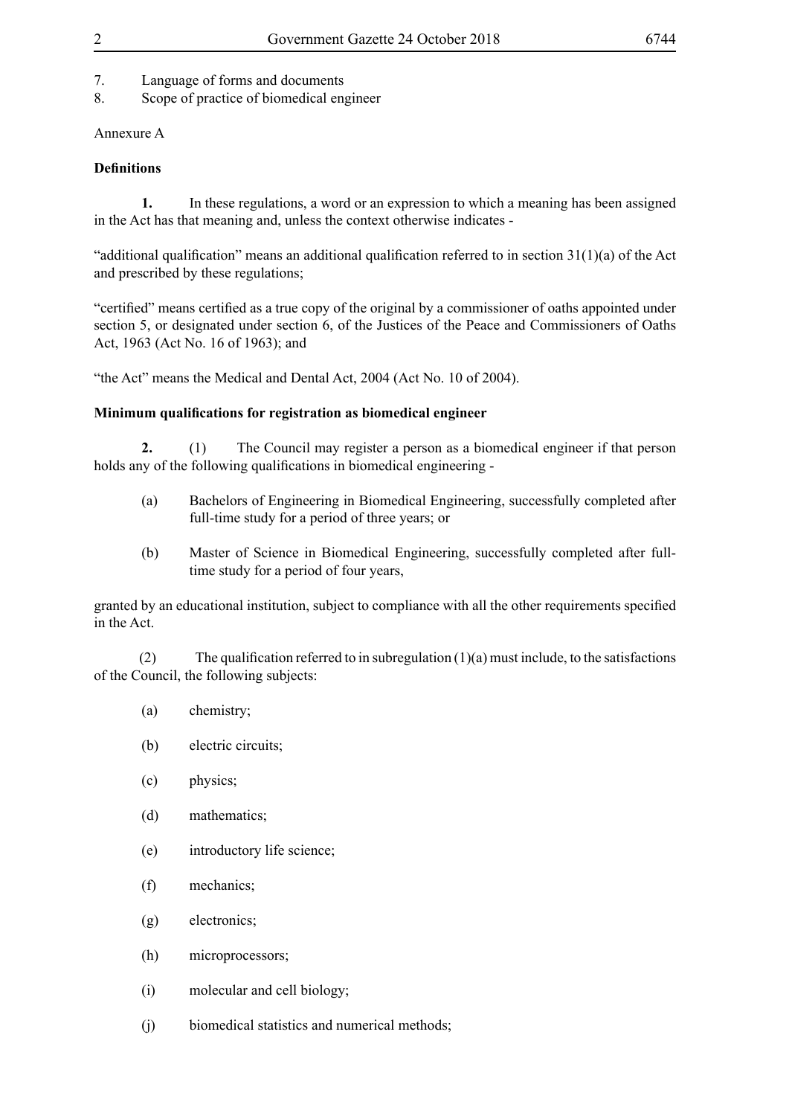- 7. Language of forms and documents
- 8. Scope of practice of biomedical engineer

# Annexure A

# **Definitions**

**1.** In these regulations, a word or an expression to which a meaning has been assigned in the Act has that meaning and, unless the context otherwise indicates -

"additional qualification" means an additional qualification referred to in section 31(1)(a) of the Act and prescribed by these regulations;

"certified" means certified as a true copy of the original by a commissioner of oaths appointed under section 5, or designated under section 6, of the Justices of the Peace and Commissioners of Oaths Act, 1963 (Act No. 16 of 1963); and

"the Act" means the Medical and Dental Act, 2004 (Act No. 10 of 2004).

# **Minimum qualifications for registration as biomedical engineer**

**2.** (1) The Council may register a person as a biomedical engineer if that person holds any of the following qualifications in biomedical engineering -

- (a) Bachelors of Engineering in Biomedical Engineering, successfully completed after full-time study for a period of three years; or
- (b) Master of Science in Biomedical Engineering, successfully completed after fulltime study for a period of four years,

granted by an educational institution, subject to compliance with all the other requirements specified in the Act.

(2) The qualification referred to in subregulation  $(1)(a)$  must include, to the satisfactions of the Council, the following subjects:

- (a) chemistry;
- (b) electric circuits;
- (c) physics;
- (d) mathematics;
- (e) introductory life science;
- (f) mechanics;
- (g) electronics;
- (h) microprocessors;
- (i) molecular and cell biology;
- (j) biomedical statistics and numerical methods;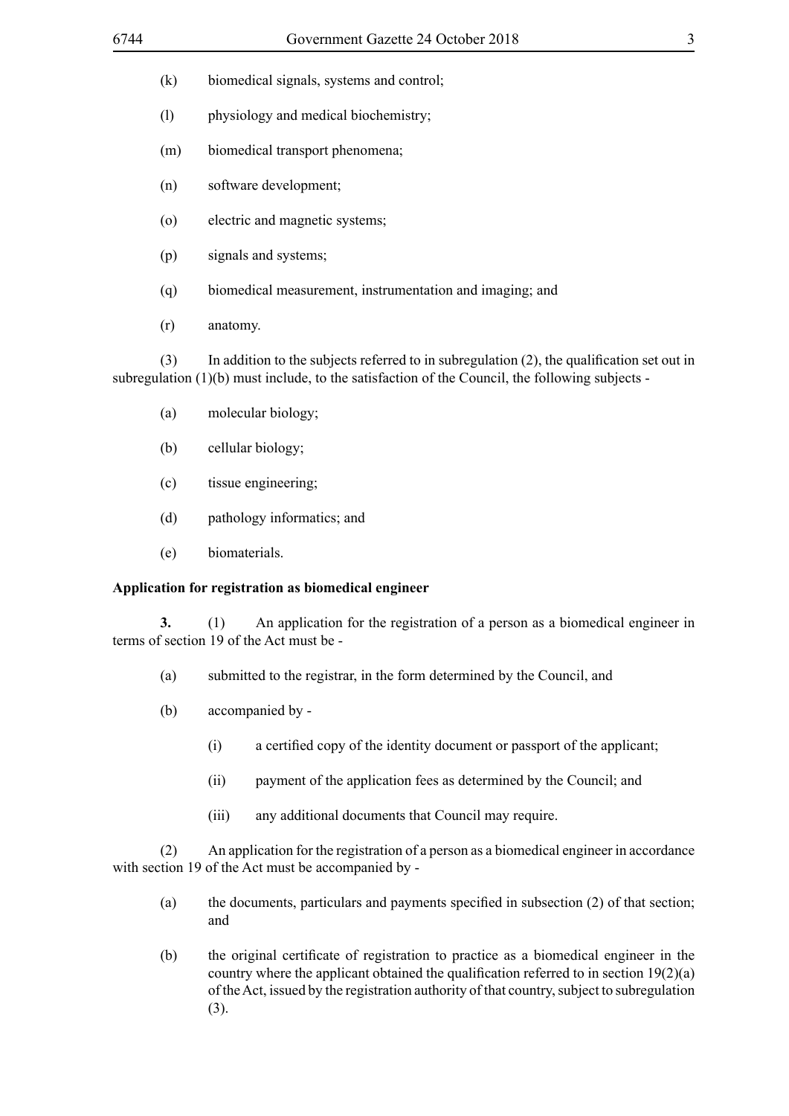- (k) biomedical signals, systems and control;
- (l) physiology and medical biochemistry;
- (m) biomedical transport phenomena;
- (n) software development;
- (o) electric and magnetic systems;
- (p) signals and systems;
- (q) biomedical measurement, instrumentation and imaging; and
- (r) anatomy.

(3) In addition to the subjects referred to in subregulation (2), the qualification set out in subregulation (1)(b) must include, to the satisfaction of the Council, the following subjects -

- (a) molecular biology;
- (b) cellular biology;
- (c) tissue engineering;
- (d) pathology informatics; and
- (e) biomaterials.

# **Application for registration as biomedical engineer**

**3.** (1) An application for the registration of a person as a biomedical engineer in terms of section 19 of the Act must be -

- (a) submitted to the registrar, in the form determined by the Council, and
- (b) accompanied by
	- (i) a certified copy of the identity document or passport of the applicant;
	- (ii) payment of the application fees as determined by the Council; and
	- (iii) any additional documents that Council may require.

(2) An application for the registration of a person as a biomedical engineer in accordance with section 19 of the Act must be accompanied by -

- (a) the documents, particulars and payments specified in subsection (2) of that section; and
- (b) the original certificate of registration to practice as a biomedical engineer in the country where the applicant obtained the qualification referred to in section 19(2)(a) of the Act, issued by the registration authority of that country, subject to subregulation (3).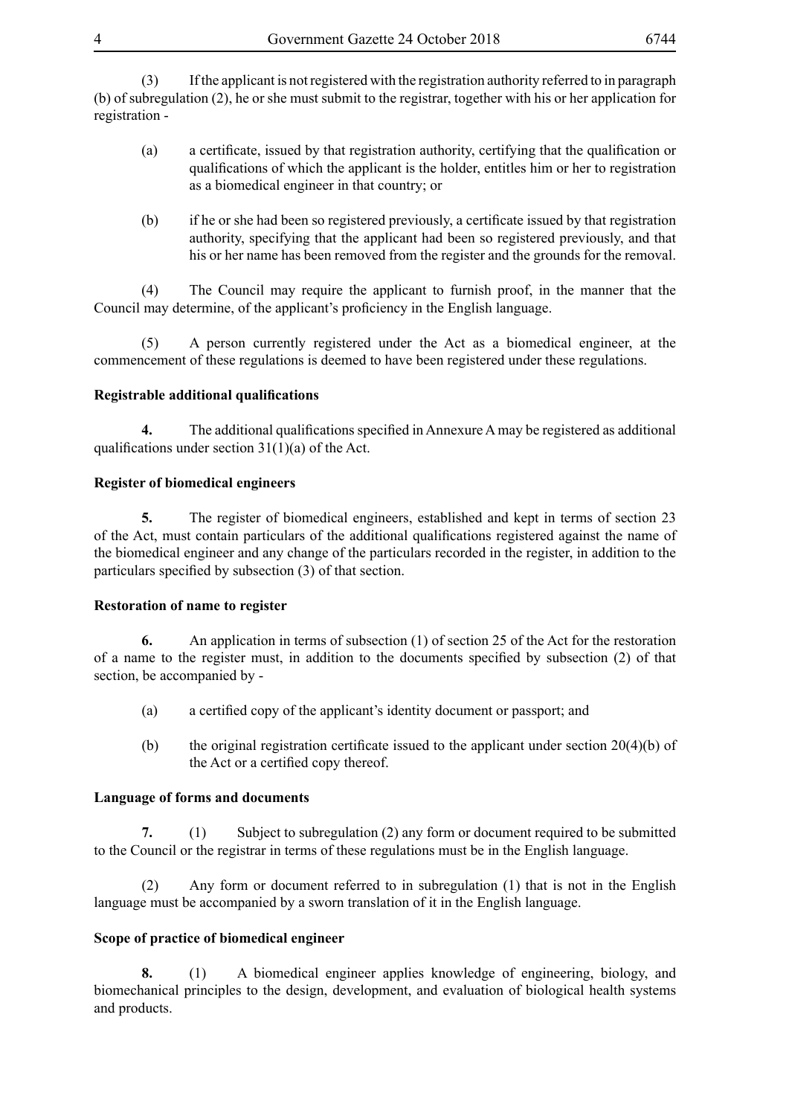(3) If the applicant is not registered with the registration authority referred to in paragraph (b) of subregulation (2), he or she must submit to the registrar, together with his or her application for registration -

- (a) a certificate, issued by that registration authority, certifying that the qualification or qualifications of which the applicant is the holder, entitles him or her to registration as a biomedical engineer in that country; or
- (b) if he or she had been so registered previously, a certificate issued by that registration authority, specifying that the applicant had been so registered previously, and that his or her name has been removed from the register and the grounds for the removal.

(4) The Council may require the applicant to furnish proof, in the manner that the Council may determine, of the applicant's proficiency in the English language.

(5) A person currently registered under the Act as a biomedical engineer, at the commencement of these regulations is deemed to have been registered under these regulations.

# **Registrable additional qualifications**

**4.** The additional qualifications specified in Annexure A may be registered as additional qualifications under section  $31(1)(a)$  of the Act.

# **Register of biomedical engineers**

**5.** The register of biomedical engineers, established and kept in terms of section 23 of the Act, must contain particulars of the additional qualifications registered against the name of the biomedical engineer and any change of the particulars recorded in the register, in addition to the particulars specified by subsection (3) of that section.

#### **Restoration of name to register**

**6.** An application in terms of subsection (1) of section 25 of the Act for the restoration of a name to the register must, in addition to the documents specified by subsection (2) of that section, be accompanied by -

- (a) a certified copy of the applicant's identity document or passport; and
- (b) the original registration certificate issued to the applicant under section  $20(4)(b)$  of the Act or a certified copy thereof.

#### **Language of forms and documents**

**7.** (1) Subject to subregulation (2) any form or document required to be submitted to the Council or the registrar in terms of these regulations must be in the English language.

(2) Any form or document referred to in subregulation (1) that is not in the English language must be accompanied by a sworn translation of it in the English language.

# **Scope of practice of biomedical engineer**

**8.** (1) A biomedical engineer applies knowledge of engineering, biology, and biomechanical principles to the design, development, and evaluation of biological health systems and products.